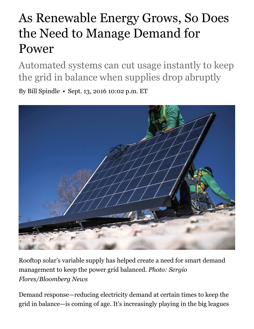## As Renewable Energy Grows, So Does the Need to Manage Demand for Power

Automated systems can cut usage instantly to keep the grid in balance when supplies drop abruptly

By Bill Spindle • Sept. 13, 2016 10:02 p.m. ET



Rooftop solar's variable supply has helped create a need for smart demand management to keep the power grid balanced. *Photo: Sergio Flores/Bloomberg News*

Demand response—reducing electricity demand at certain times to keep the grid in balance—is coming of age. It's increasingly playing in the big leagues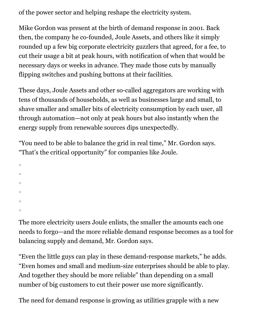of the power sector and helping reshape the electricity system.

Mike Gordon was present at the birth of demand response in 2001. Back then, the company he co-founded, Joule Assets, and others like it simply rounded up a few big corporate electricity guzzlers that agreed, for a fee, to cut their usage a bit at peak hours, with notification of when that would be necessary days or weeks in advance. They made those cuts by manually flipping switches and pushing buttons at their facilities.

These days, Joule Assets and other so-called aggregators are working with tens of thousands of households, as well as businesses large and small, to shave smaller and smaller bits of electricity consumption by each user, all through automation—not only at peak hours but also instantly when the energy supply from renewable sources dips unexpectedly.

"You need to be able to balance the grid in real time," Mr. Gordon says. "That's the critical opportunity" for companies like Joule.

The more electricity users Joule enlists, the smaller the amounts each one needs to forgo—and the more reliable demand response becomes as a tool for balancing supply and demand, Mr. Gordon says.

"Even the little guys can play in these demand-response markets," he adds. "Even homes and small and medium-size enterprises should be able to play. And together they should be more reliable" than depending on a small number of big customers to cut their power use more significantly.

The need for demand response is growing as utilities grapple with a new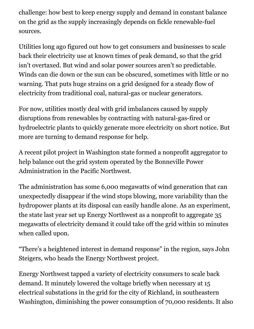challenge: how best to keep energy supply and demand in constant balance on the grid as the supply increasingly depends on fickle renewable-fuel sources.

Utilities long ago figured out how to get consumers and businesses to scale back their electricity use at known times of peak demand, so that the grid isn't overtaxed. But wind and solar power sources aren't so predictable. Winds can die down or the sun can be obscured, sometimes with little or no warning. That puts huge strains on a grid designed for a steady flow of electricity from traditional coal, natural-gas or nuclear generators.

For now, utilities mostly deal with grid imbalances caused by supply disruptions from renewables by contracting with natural-gas-fired or hydroelectric plants to quickly generate more electricity on short notice. But more are turning to demand response for help.

A recent pilot project in Washington state formed a nonprofit aggregator to help balance out the grid system operated by the Bonneville Power Administration in the Pacific Northwest.

The administration has some 6,000 megawatts of wind generation that can unexpectedly disappear if the wind stops blowing, more variability than the hydropower plants at its disposal can easily handle alone. As an experiment, the state last year set up Energy Northwest as a nonprofit to aggregate 35 megawatts of electricity demand it could take off the grid within 10 minutes when called upon.

"There's a heightened interest in demand response" in the region, says John Steigers, who heads the Energy Northwest project.

Energy Northwest tapped a variety of electricity consumers to scale back demand. It minutely lowered the voltage briefly when necessary at 15 electrical substations in the grid for the city of Richland, in southeastern Washington, diminishing the power consumption of 70,000 residents. It also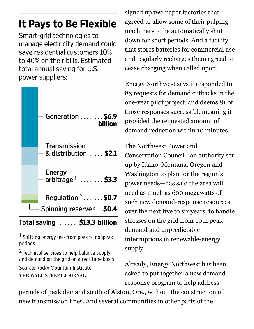## It Pays to Be Flexible

Smart-grid technologies to manage electricity demand could save residential customers 10% to 40% on their bills. Estimated total annual saving for U.S. power suppliers:



Total saving ...... \$13.3 billion

 $<sup>1</sup>$  Shifting energy use from peak to nonpeak</sup> periods

<sup>2</sup> Technical services to help balance supply and demand on the grid on a real-time basis

Source: Rocky Mountain Institute THE WALL STREET JOURNAL.

signed up two paper factories that agreed to allow some of their pulping machinery to be automatically shut down for short periods. And a facility that stores batteries for commercial use and regularly recharges them agreed to cease charging when called upon.

Energy Northwest says it responded to 85 requests for demand cutbacks in the one-year pilot project, and deems 81 of those responses successful, meaning it provided the requested amount of demand reduction within 10 minutes.

The Northwest Power and Conservation Council—an authority set up by Idaho, Montana, Oregon and Washington to plan for the region's power needs—has said the area will need as much as 600 megawatts of such new demand-response resources over the next five to six years, to handle stresses on the grid from both peak demand and unpredictable interruptions in renewable-energy supply.

Already, Energy Northwest has been asked to put together a new demandresponse program to help address

periods of peak demand south of Alston, Ore., without the construction of new transmission lines. And several communities in other parts of the